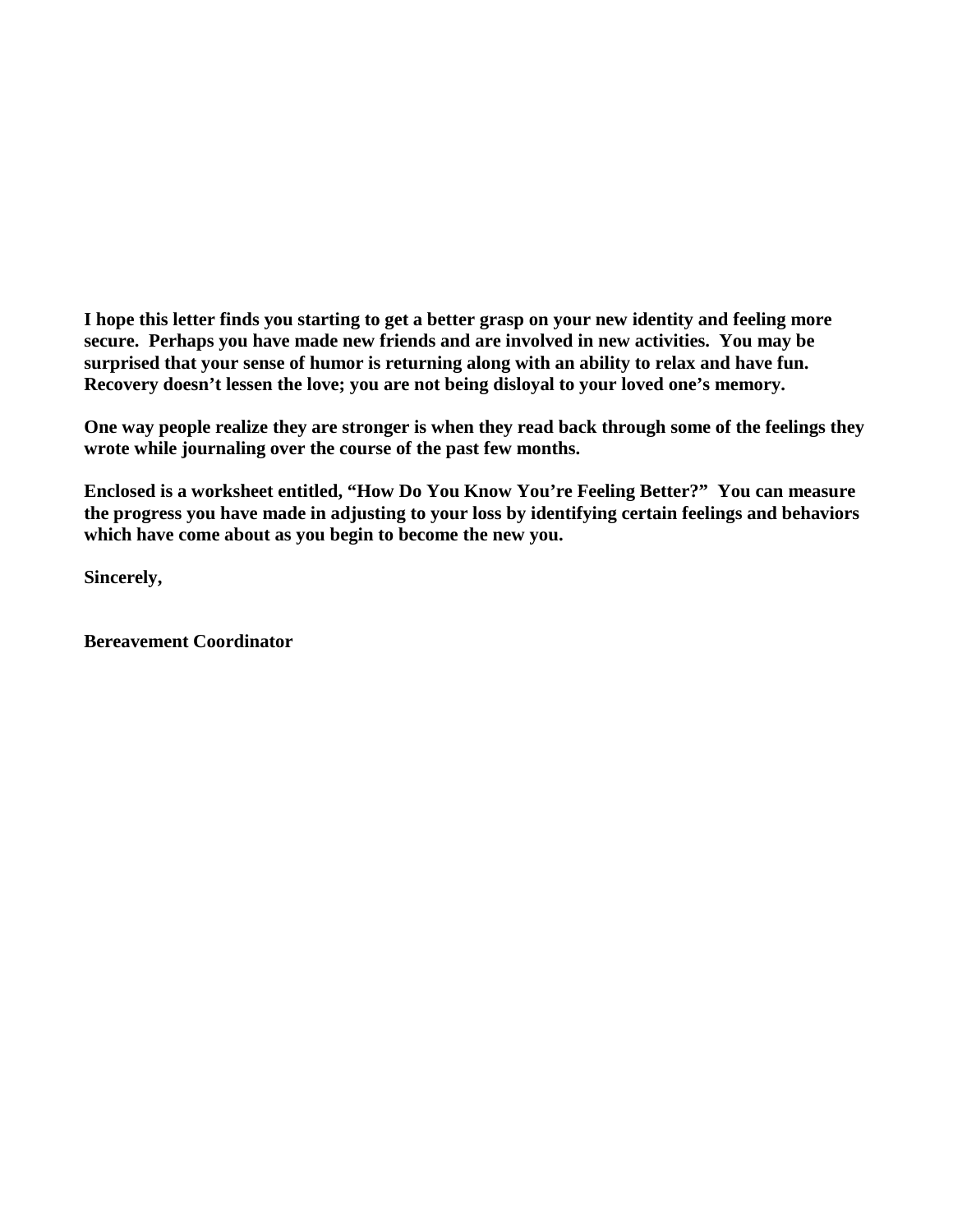**I hope this letter finds you starting to get a better grasp on your new identity and feeling more secure. Perhaps you have made new friends and are involved in new activities. You may be surprised that your sense of humor is returning along with an ability to relax and have fun. Recovery doesn't lessen the love; you are not being disloyal to your loved one's memory.**

**One way people realize they are stronger is when they read back through some of the feelings they wrote while journaling over the course of the past few months.** 

**Enclosed is a worksheet entitled, "How Do You Know You're Feeling Better?" You can measure the progress you have made in adjusting to your loss by identifying certain feelings and behaviors which have come about as you begin to become the new you.** 

**Sincerely,**

**Bereavement Coordinator**